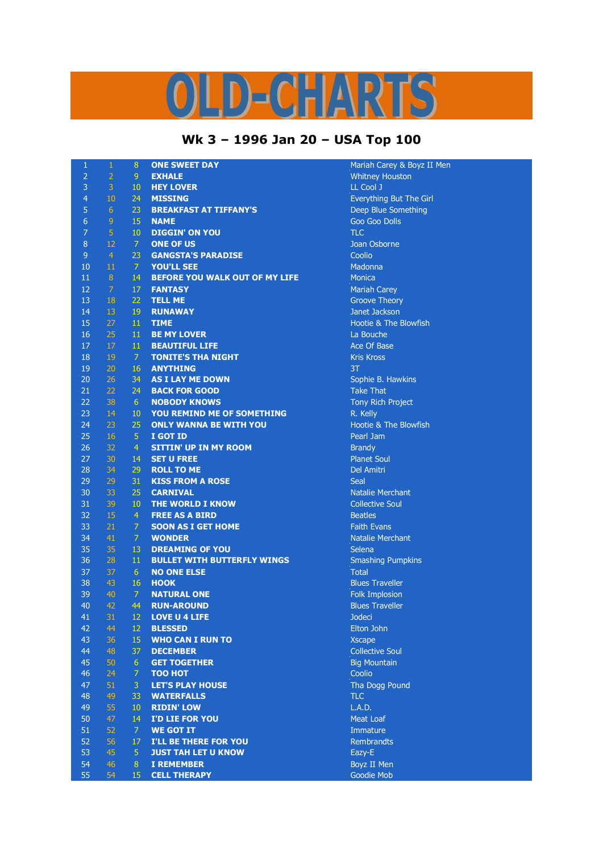## $\left( \frac{1}{2} \right)$   $\left[ \frac{1}{2} \right]$   $\left[ \frac{1}{2} \right]$  $\bigcap$

## **Wk 3 – 1996 Jan 20 – USA Top 100**

| $\mathbf{1}$   | $\,1\,$          | 8               | <b>ONE SWEET DAY</b>               | Mariah          |
|----------------|------------------|-----------------|------------------------------------|-----------------|
| $\overline{2}$ | $\overline{2}$   | 9 <sup>°</sup>  | <b>EXHALE</b>                      | Whitne          |
| $\overline{3}$ | $\overline{3}$   | $10\,$          | <b>HEY LOVER</b>                   | LL Cool         |
| $\overline{4}$ | 10               | 24              | <b>MISSING</b>                     | Everyth         |
| $\sqrt{5}$     | $6 \overline{6}$ | 23              | <b>BREAKFAST AT TIFFANY'S</b>      | Deep B          |
| $\overline{6}$ | $\overline{9}$   | 15              | <b>NAME</b>                        | Goo Go          |
| $\overline{7}$ | $\overline{5}$   | 10              | <b>DIGGIN' ON YOU</b>              | <b>TLC</b>      |
| $\bf 8$        | 12               | $\overline{7}$  | <b>ONE OF US</b>                   | Joan Os         |
| $\overline{9}$ | $\overline{4}$   | 23              | <b>GANGSTA'S PARADISE</b>          | Coolio          |
| 10             | 11               | $\mathcal{I}$   | <b>YOU'LL SEE</b>                  | Madonr          |
| 11             | $\, 8$           | 14              | BEFORE YOU WALK OUT OF MY LIFE     | <b>Monica</b>   |
| 12             | $\overline{7}$   | 17              | <b>FANTASY</b>                     | Mariah          |
| 13             | 18               | 22              | <b>TELL ME</b>                     | Groove          |
| 14             | 13               | 19              | <b>RUNAWAY</b>                     | Janet Ja        |
| 15             | 27               | 11              | <b>TIME</b>                        | Hootie          |
| 16             | 25               | 11              | <b>BE MY LOVER</b>                 | La Bou          |
| $17\,$         | 17               | 11              | <b>BEAUTIFUL LIFE</b>              | Ace Of          |
| 18             | 19               | 7 <sup>1</sup>  | <b>TONITE'S THA NIGHT</b>          | <b>Kris Kro</b> |
| 19             | 20               | 16              | <b>ANYTHING</b>                    | 3T              |
| 20             | 26               | 34              | <b>AS I LAY ME DOWN</b>            | Sophie          |
| 21             | 22               | 24              | <b>BACK FOR GOOD</b>               | Take TI         |
| 22             | 38               | 6 <sup>1</sup>  | <b>NOBODY KNOWS</b>                | Tony R          |
| 23             | 14               | $10\,$          | YOU REMIND ME OF SOMETHING         | R. Kelly        |
| 24             | 23               | 25              | <b>ONLY WANNA BE WITH YOU</b>      | Hootie          |
| 25             | 16               | $\overline{5}$  | I GOT ID                           | Pearl Ja        |
| 26             | 32               | $\overline{4}$  | <b>SITTIN' UP IN MY ROOM</b>       | <b>Brandy</b>   |
| 27             | 30               | 14              | <b>SET U FREE</b>                  | Planet !        |
| 28             | 34               | 29              | <b>ROLL TO ME</b>                  | Del Am          |
| 29             | 29               | 31              | <b>KISS FROM A ROSE</b>            | Seal            |
| 30             | 33               | 25              | <b>CARNIVAL</b>                    | <b>Natalie</b>  |
| 31             | 39               | $10\,$          | THE WORLD I KNOW                   | Collecti        |
| 32             | 15               | $\overline{4}$  | <b>FREE AS A BIRD</b>              | <b>Beatles</b>  |
| 33             | 21               | $\overline{7}$  | <b>SOON AS I GET HOME</b>          | Faith E         |
| 34             | 41               | $\overline{7}$  | <b>WONDER</b>                      | <b>Natalie</b>  |
| 35             | 35               | 13              | <b>DREAMING OF YOU</b>             | Selena          |
| 36             | 28               | 11              | <b>BULLET WITH BUTTERFLY WINGS</b> | Smashi          |
| 37             | 37               | 6 <sup>1</sup>  | <b>NO ONE ELSE</b>                 | <b>Total</b>    |
| 38             | 43               | 16              | <b>HOOK</b>                        | <b>Blues T</b>  |
| 39             | 40               | $\overline{7}$  | <b>NATURAL ONE</b>                 | Folk Im         |
| 40             | 42               | 44              | <b>RUN-AROUND</b>                  | <b>Blues T</b>  |
| 41             | 31               | 12              | <b>LOVE U 4 LIFE</b>               | Jodeci          |
| 42             | 44               | 12              | <b>BLESSED</b>                     | Elton Jo        |
| 43             | 36               | 15              | <b>WHO CAN I RUN TO</b>            | <b>Xscape</b>   |
| 44             | 48               | 37              | <b>DECEMBER</b>                    | Collecti        |
| 45             | 50               | $6\phantom{.}6$ | <b>GET TOGETHER</b>                | <b>Big Mot</b>  |
| 46             | 24               | $\overline{7}$  | <b>TOO HOT</b>                     | Coolio          |
| 47             | 51               | 3               | <b>LET'S PLAY HOUSE</b>            | Tha Do          |
| 48             | 49               | 33              | <b>WATERFALLS</b>                  | <b>TLC</b>      |
| 49             | 55               | 10              | <b>RIDIN' LOW</b>                  | L.A.D.          |
| 50             | 47               | 14              | I'D LIE FOR YOU                    | Meat Lo         |
| 51             | 52               | $\mathcal{I}$   | <b>WE GOT IT</b>                   | Immatu          |
| 52             | 56               | 17              | I'LL BE THERE FOR YOU              | Rembra          |
| 53             | 45               | 5               | <b>JUST TAH LET U KNOW</b>         | Eazy-E          |
| 54             | 46               | 8               | <b>I REMEMBER</b>                  | Boyz II         |
| EE.            | $E_{\mathbf{A}}$ | 15.             | CELL THEDADY                       | Goodia          |

Mariah Carey & Boyz II Men **Whitney Houston** LL Cool J **Everything But The Girl Deep Blue Something Goo Goo Dolls Joan Osborne Madonna Mariah Carey Groove Theory** Janet Jackson **Hootie & The Blowfish** La Bouche Ace Of Base **Kris Kross** Sophie B. Hawkins **Take That Tony Rich Project** Hootie & The Blowfish Pearl Jam **Planet Soul** Del Amitri **Natalie Merchant Collective Soul Faith Evans Natalie Merchant Smashing Pumpkins Blues Traveller Folk Implosion Blues Traveller Elton John Collective Soul Big Mountain Tha Dogg Pound** Meat Loaf 51 52 7 **WE GOT IT** Immature Rembrandts **Boyz II Men** 

Goodie Mob